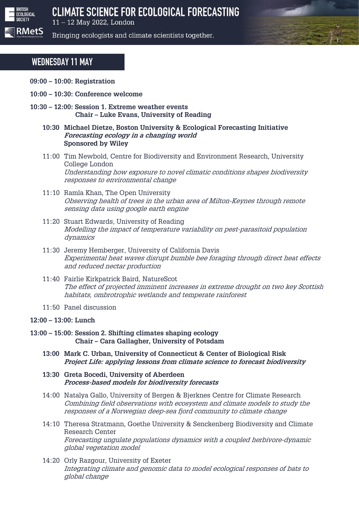

11 - 12 May 2022, London

Bringing ecologists and climate scientists together.

# **WEDNESDAY 11 MAY**

- **09:00 – 10:00: Registration**
- **10:00 – 10:30: Conference welcome**
- **10:30 – 12:00: Session 1. Extreme weather events Chair – Luke Evans, University of Reading**
	- **10:30 Michael Dietze, Boston University & Ecological Forecasting Initiative Forecasting ecology in a changing world Sponsored by Wiley**
	- 11:00 Tim Newbold, Centre for Biodiversity and Environment Research, University College London Understanding how exposure to novel climatic conditions shapes biodiversity responses to environmental change
	- 11:10 Ramla Khan, The Open University Observing health of trees in the urban area of Milton-Keynes through remote sensing data using google earth engine
	- 11:20 Stuart Edwards, University of Reading Modelling the impact of temperature variability on pest-parasitoid population dynamics
	- 11:30 Jeremy Hemberger, University of California Davis Experimental heat waves disrupt bumble bee foraging through direct heat effects and reduced nectar production
	- 11:40 Fairlie Kirkpatrick Baird, NatureScot The effect of projected imminent increases in extreme drought on two key Scottish habitats, ombrotrophic wetlands and temperate rainforest
	- 11:50 Panel discussion

#### **12:00 – 13:00: Lunch**

- **13:00 – 15:00: Session 2. Shifting climates shaping ecology Chair – Cara Gallagher, University of Potsdam**
	- **13:00 Mark C. Urban, University of Connecticut & Center of Biological Risk Project Life: applying lessons from climate science to forecast biodiversity**
	- **13:30 Greta Bocedi, University of Aberdeen Process-based models for biodiversity forecasts**
	- 14:00 Natalya Gallo, University of Bergen & Bjerknes Centre for Climate Research Combining field observations with ecosystem and climate models to study the responses of a Norwegian deep-sea fjord community to climate change
	- 14:10 Theresa Stratmann, Goethe University & Senckenberg Biodiversity and Climate Research Center Forecasting ungulate populations dynamics with a coupled herbivore-dynamic global vegetation model
	- 14:20 Orly Razgour, University of Exeter Integrating climate and genomic data to model ecological responses of bats to global change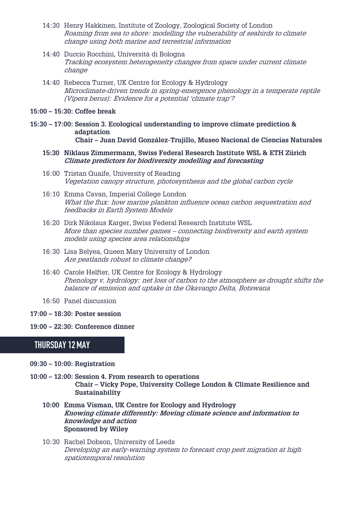- 14:30 Henry Hakkinen, Institute of Zoology, Zoological Society of London Roaming from sea to shore: modelling the vulnerability of seabirds to climate change using both marine and terrestrial information
- 14:40 Duccio Rocchini, Università di Bologna Tracking ecosystem heterogeneity changes from space under current climate change
- 14:40 Rebecca Turner, UK Centre for Ecology & Hydrology Microclimate-driven trends in spring-emergence phenology in a temperate reptile (Vipera berus): Evidence for a potential 'climate trap'?
- **15:00 – 15:30: Coffee break**
- **15:30 – 17:00: Session 3. Ecological understanding to improve climate prediction & adaptation Chair – Juan David González-Trujillo, Museo Nacional de Ciencias Naturales**
	- **15:30 Niklaus Zimmermann, Swiss Federal Research Institute WSL & ETH Zürich Climate predictors for biodiversity modelling and forecasting**
	- 16:00 Tristan Quaife, University of Reading Vegetation canopy structure, photosynthesis and the global carbon cycle
	- 16:10 Emma Cavan, Imperial College London What the flux: how marine plankton influence ocean carbon sequestration and feedbacks in Earth System Models
	- 16:20 Dirk Nikolaus Karger, Swiss Federal Research Institute WSL More than species number games – connecting biodiversity and earth system models using species area relationships
	- 16:30 Lisa Belyea, Queen Mary University of London Are peatlands robust to climate change?
	- 16:40 Carole Helfter, UK Centre for Ecology & Hydrology Phenology v. hydrology: net loss of carbon to the atmosphere as drought shifts the balance of emission and uptake in the Okavango Delta, Botswana
	- 16:50 Panel discussion
- **17:00 – 18:30: Poster session**
- **19:00 – 22:30: Conference dinner**

# **THURSDAY 12 MAY**

- **09:30 – 10:00: Registration**
- **10:00 – 12:00: Session 4. From research to operations Chair – Vicky Pope, University College London & Climate Resilience and Sustainability**
	- **10:00 Emma Visman, UK Centre for Ecology and Hydrology Knowing climate differently: Moving climate science and information to knowledge and action Sponsored by Wiley**
	- 10:30 Rachel Dobson, University of Leeds Developing an early-warning system to forecast crop pest migration at high spatiotemporal resolution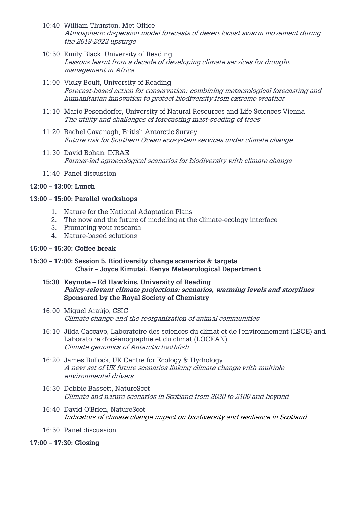- 10:40 William Thurston, Met Office Atmospheric dispersion model forecasts of desert locust swarm movement during the 2019-2022 upsurge
- 10:50 Emily Black, University of Reading Lessons learnt from a decade of developing climate services for drought management in Africa
- 11:00 Vicky Boult, University of Reading Forecast-based action for conservation: combining meteorological forecasting and humanitarian innovation to protect biodiversity from extreme weather
- 11:10 Mario Pesendorfer, University of Natural Resources and Life Sciences Vienna The utility and challenges of forecasting mast-seeding of trees
- 11:20 Rachel Cavanagh, British Antarctic Survey Future risk for Southern Ocean ecosystem services under climate change
- 11:30 David Bohan, INRAE Farmer-led agroecological scenarios for biodiversity with climate change
- 11:40 Panel discussion

#### **12:00 – 13:00: Lunch**

#### **13:00 – 15:00: Parallel workshops**

- 1. Nature for the National Adaptation Plans
- 2. The now and the future of modeling at the climate-ecology interface
- 3. Promoting your research
- 4. Nature-based solutions

#### **15:00 – 15:30: Coffee break**

- **15:30 – 17:00: Session 5. Biodiversity change scenarios & targets Chair – Joyce Kimutai, Kenya Meteorological Department**
	- **15:30 Keynote – Ed Hawkins, University of Reading Policy-relevant climate projections: scenarios, warming levels and storylines Sponsored by the Royal Society of Chemistry**
	- 16:00 Miguel Araújo, CSIC Climate change and the reorganization of animal communities
	- 16:10 Jilda Caccavo, Laboratoire des sciences du climat et de l'environnement (LSCE) and Laboratoire d'océanographie et du climat (LOCEAN) Climate genomics of Antarctic toothfish
	- 16:20 James Bullock, UK Centre for Ecology & Hydrology A new set of UK future scenarios linking climate change with multiple environmental drivers
	- 16:30 Debbie Bassett, NatureScot Climate and nature scenarios in Scotland from 2030 to 2100 and beyond
	- 16:40 David O'Brien, NatureScot Indicators of climate change impact on biodiversity and resilience in Scotland
	- 16:50 Panel discussion
- **17:00 – 17:30: Closing**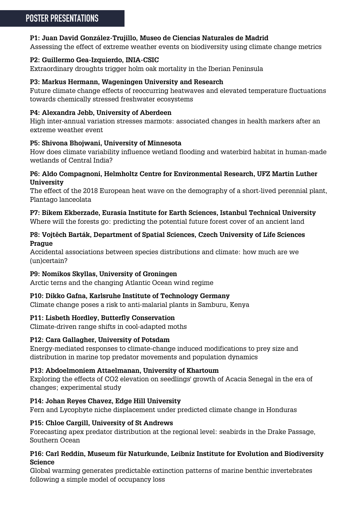# **P1: Juan David González-Trujillo, Museo de Ciencias Naturales de Madrid**

Assessing the effect of extreme weather events on biodiversity using climate change metrics

## **P2: Guillermo Gea-Izquierdo, INIA-CSIC**

Extraordinary droughts trigger holm oak mortality in the Iberian Peninsula

### **P3: Markus Hermann, Wageningen University and Research**

Future climate change effects of reoccurring heatwaves and elevated temperature fluctuations towards chemically stressed freshwater ecosystems

# **P4: Alexandra Jebb, University of Aberdeen**

High inter-annual variation stresses marmots: associated changes in health markers after an extreme weather event

# **P5: Shivona Bhojwani, University of Minnesota**

How does climate variability influence wetland flooding and waterbird habitat in human-made wetlands of Central India?

## **P6: Aldo Compagnoni, Helmholtz Centre for Environmental Research, UFZ Martin Luther University**

The effect of the 2018 European heat wave on the demography of a short-lived perennial plant, Plantago lanceolata

# **P7: Bikem Ekberzade, Eurasia Institute for Earth Sciences, Istanbul Technical University**

Where will the forests go: predicting the potential future forest cover of an ancient land

#### **P8: Vojtěch Barták, Department of Spatial Sciences, Czech University of Life Sciences Prague**

Accidental associations between species distributions and climate: how much are we (un)certain?

# **P9: Nomikos Skyllas, University of Groningen**

Arctic terns and the changing Atlantic Ocean wind regime

# **P10: Dikko Gafna, Karlsruhe Institute of Technology Germany**

Climate change poses a risk to anti-malarial plants in Samburu, Kenya

# **P11: Lisbeth Hordley, Butterfly Conservation**

Climate-driven range shifts in cool-adapted moths

# **P12: Cara Gallagher, University of Potsdam**

Energy-mediated responses to climate-change induced modifications to prey size and distribution in marine top predator movements and population dynamics

### **P13: Abdoelmoniem Attaelmanan, University of Khartoum**

Exploring the effects of CO2 elevation on seedlings' growth of Acacia Senegal in the era of changes; experimental study

# **P14: Johan Reyes Chavez, Edge Hill University**

Fern and Lycophyte niche displacement under predicted climate change in Honduras

### **P15: Chloe Cargill, University of St Andrews**

Forecasting apex predator distribution at the regional level: seabirds in the Drake Passage, Southern Ocean

# **P16: Carl Reddin, Museum für Naturkunde, Leibniz Institute for Evolution and Biodiversity Science**

Global warming generates predictable extinction patterns of marine benthic invertebrates following a simple model of occupancy loss